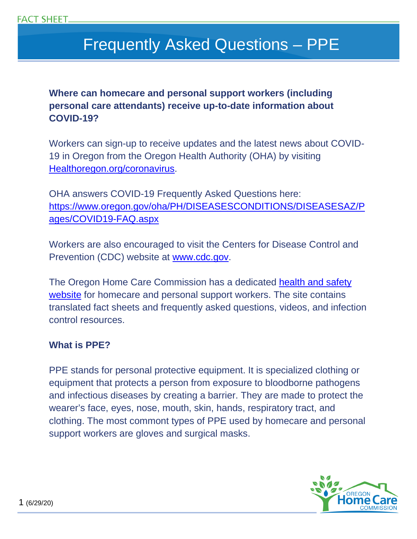# Frequently Asked Questions – PPE

**Where can homecare and personal support workers (including personal care attendants) receive up-to-date information about COVID-19?** 

Workers can sign-up to receive updates and the latest news about COVID-19 in Oregon from the Oregon Health Authority (OHA) by visiting Healthoregon.org/coronavirus.

OHA answers COVID-19 Frequently Asked Questions here: https://www.oregon.gov/oha/PH/DISEASESCONDITIONS/DISEASESAZ/P ages/COVID19-FAQ.aspx

Workers are also encouraged to visit the Centers for Disease Control and Prevention (CDC) website at www.cdc.gov.

The Oregon Home Care Commission has a dedicated health and safety website for homecare and personal support workers. The site contains translated fact sheets and frequently asked questions, videos, and infection control resources.

#### **What is PPE?**

PPE stands for personal protective equipment. It is specialized clothing or equipment that protects a person from exposure to bloodborne pathogens and infectious diseases by creating a barrier. They are made to protect the wearer's face, eyes, nose, mouth, skin, hands, respiratory tract, and clothing. The most commont types of PPE used by homecare and personal support workers are gloves and surgical masks.

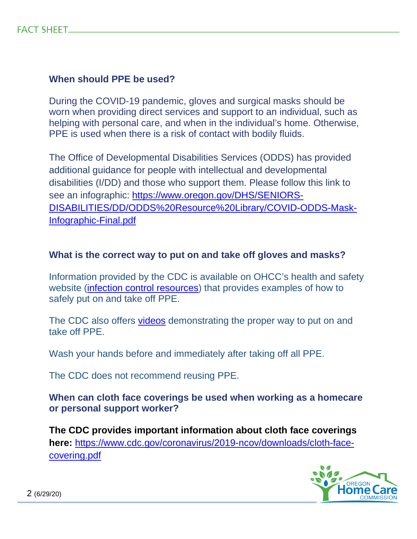## **When should PPE be used?**

During the COVID-19 pandemic, gloves and surgical masks should be worn when providing direct services and support to an individual, such as helping with personal care, and when in the individual's home. Otherwise, PPE is used when there is a risk of contact with bodily fluids.

The Office of Developmental Disabilities Services (ODDS) has provided additional guidance for people with intellectual and developmental disabilities (I/DD) and those who support them. Please follow this link to see an infographic: https://www.oregon.gov/DHS/SENIORS-DISABILITIES/DD/ODDS%20Resource%20Library/COVID-ODDS-Mask-Infographic-Final.pdf

### **What is the correct way to put on and take off gloves and masks?**

Information provided by the CDC is available on OHCC's health and safety website (infection control resources) that provides examples of how to safely put on and take off PPE.

The CDC also offers videos demonstrating the proper way to put on and take off PPE.

Wash your hands before and immediately after taking off all PPE.

The CDC does not recommend reusing PPE.

**When can cloth face coverings be used when working as a homecare or personal support worker?** 

**The CDC provides important information about cloth face coverings here:** https://www.cdc.gov/coronavirus/2019-ncov/downloads/cloth-facecovering.pdf

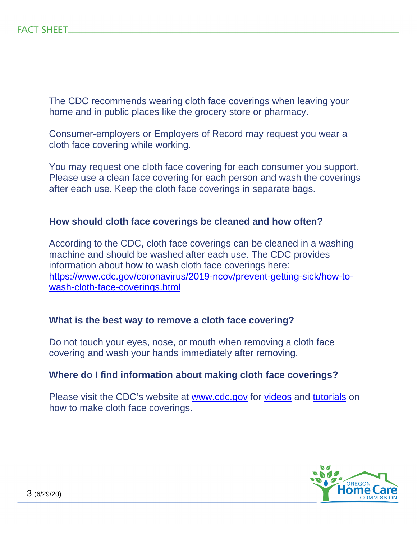The CDC recommends wearing cloth face coverings when leaving your home and in public places like the grocery store or pharmacy.

Consumer-employers or Employers of Record may request you wear a cloth face covering while working.

You may request one cloth face covering for each consumer you support. Please use a clean face covering for each person and wash the coverings after each use. Keep the cloth face coverings in separate bags.

#### **How should cloth face coverings be cleaned and how often?**

According to the CDC, cloth face coverings can be cleaned in a washing machine and should be washed after each use. The CDC provides information about how to wash cloth face coverings here: https://www.cdc.gov/coronavirus/2019-ncov/prevent-getting-sick/how-towash-cloth-face-coverings.html

#### **What is the best way to remove a cloth face covering?**

Do not touch your eyes, nose, or mouth when removing a cloth face covering and wash your hands immediately after removing.

#### **Where do I find information about making cloth face coverings?**

Please visit the CDC's website at www.cdc.gov for videos and tutorials on how to make cloth face coverings.